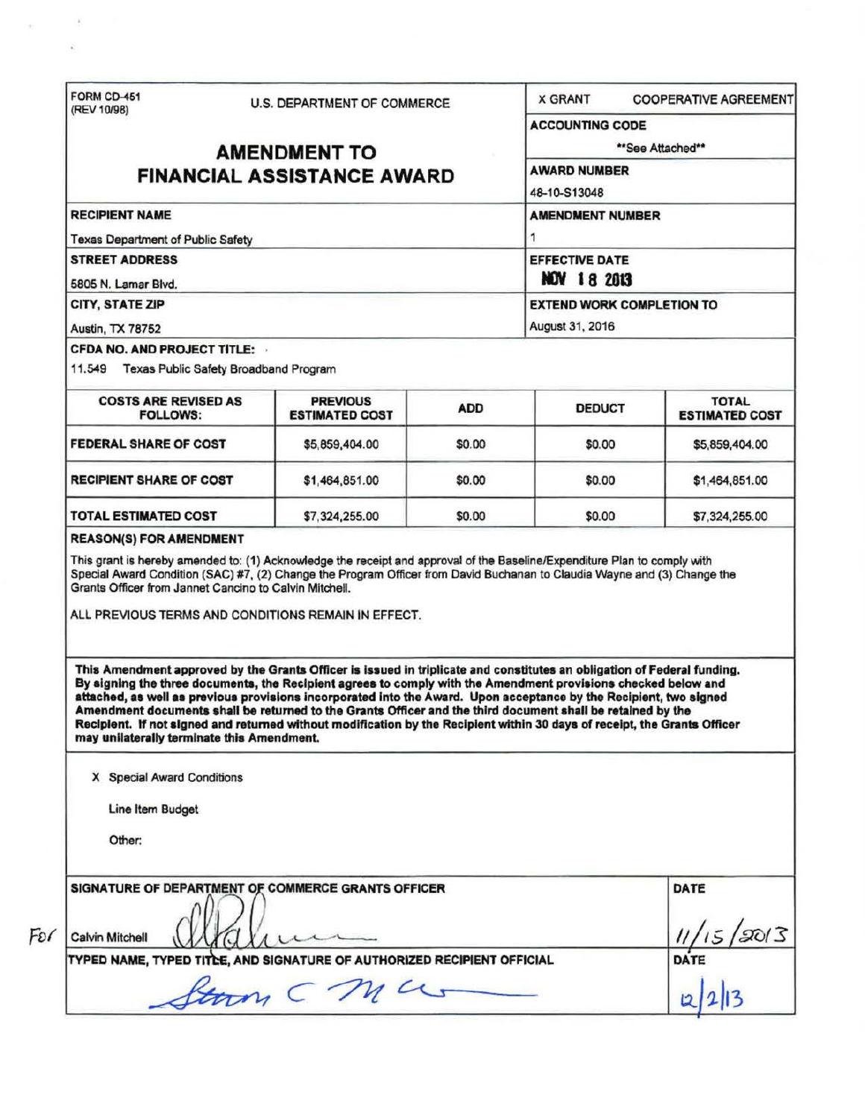|                                                                                          | U.S. DEPARTMENT OF COMMERCE                                                                                                                                                                                                                                                                                                                                                                                                                                                      |            | <b>X GRANT</b>                      | <b>COOPERATIVE AGREEMENT</b>          |                       |
|------------------------------------------------------------------------------------------|----------------------------------------------------------------------------------------------------------------------------------------------------------------------------------------------------------------------------------------------------------------------------------------------------------------------------------------------------------------------------------------------------------------------------------------------------------------------------------|------------|-------------------------------------|---------------------------------------|-----------------------|
| (REV 10/98)                                                                              |                                                                                                                                                                                                                                                                                                                                                                                                                                                                                  |            | <b>ACCOUNTING CODE</b>              |                                       |                       |
| <b>AMENDMENT TO</b>                                                                      |                                                                                                                                                                                                                                                                                                                                                                                                                                                                                  |            | **See Attached**                    |                                       |                       |
|                                                                                          | <b>FINANCIAL ASSISTANCE AWARD</b>                                                                                                                                                                                                                                                                                                                                                                                                                                                |            | <b>AWARD NUMBER</b><br>48-10-S13048 |                                       |                       |
|                                                                                          |                                                                                                                                                                                                                                                                                                                                                                                                                                                                                  |            |                                     |                                       |                       |
| <b>RECIPIENT NAME</b><br><b>Texas Department of Public Safety</b>                        |                                                                                                                                                                                                                                                                                                                                                                                                                                                                                  |            | <b>AMENDMENT NUMBER</b>             |                                       |                       |
|                                                                                          |                                                                                                                                                                                                                                                                                                                                                                                                                                                                                  |            |                                     |                                       | <b>STREET ADDRESS</b> |
| 5805 N. Lamar Blvd.                                                                      |                                                                                                                                                                                                                                                                                                                                                                                                                                                                                  |            | <b>EXTEND WORK COMPLETION TO</b>    |                                       |                       |
|                                                                                          | CITY, STATE ZIP                                                                                                                                                                                                                                                                                                                                                                                                                                                                  |            |                                     |                                       |                       |
| Austin, TX 78752<br><b>CFDA NO. AND PROJECT TITLE:</b>                                   |                                                                                                                                                                                                                                                                                                                                                                                                                                                                                  |            | August 31, 2016                     |                                       |                       |
| 11.549 Texas Public Safety Broadband Program                                             |                                                                                                                                                                                                                                                                                                                                                                                                                                                                                  |            |                                     |                                       |                       |
| <b>COSTS ARE REVISED AS</b><br><b>FOLLOWS:</b>                                           | <b>PREVIOUS</b><br><b>ESTIMATED COST</b>                                                                                                                                                                                                                                                                                                                                                                                                                                         | <b>ADD</b> | <b>DEDUCT</b>                       | <b>TOTAL</b><br><b>ESTIMATED COST</b> |                       |
| <b>FEDERAL SHARE OF COST</b>                                                             | \$5,859,404.00                                                                                                                                                                                                                                                                                                                                                                                                                                                                   | \$0.00     | \$0.00                              | \$5,859,404.00                        |                       |
| <b>RECIPIENT SHARE OF COST</b>                                                           | \$1,464,851.00                                                                                                                                                                                                                                                                                                                                                                                                                                                                   | \$0.00     | \$0.00                              | \$1,464,851.00                        |                       |
|                                                                                          |                                                                                                                                                                                                                                                                                                                                                                                                                                                                                  |            |                                     |                                       |                       |
| <b>TOTAL ESTIMATED COST</b>                                                              | \$7,324,255.00                                                                                                                                                                                                                                                                                                                                                                                                                                                                   | \$0.00     | \$0.00                              |                                       |                       |
|                                                                                          | This grant is hereby amended to: (1) Acknowledge the receipt and approval of the Baseline/Expenditure Plan to comply with<br>Special Award Condition (SAC) #7, (2) Change the Program Officer from David Buchanan to Claudia Wayne and (3) Change the                                                                                                                                                                                                                            |            |                                     | \$7,324,255.00                        |                       |
| <b>REASON(S) FOR AMENDMENT</b><br>Grants Officer from Jannet Cancino to Calvin Mitchell. | ALL PREVIOUS TERMS AND CONDITIONS REMAIN IN EFFECT.<br>This Amendment approved by the Grants Officer is issued in triplicate and constitutes an obligation of Federal funding.                                                                                                                                                                                                                                                                                                   |            |                                     |                                       |                       |
| may unilaterally terminate this Amendment.                                               | By signing the three documents, the Recipient agrees to comply with the Amendment provisions checked below and<br>attached, as well as previous provisions incorporated into the Award. Upon acceptance by the Recipient, two signed<br>Amendment documents shall be returned to the Grants Officer and the third document shall be retained by the<br>Reciplent. If not signed and returned without modification by the Recipient within 30 days of receipt, the Grants Officer |            |                                     |                                       |                       |
| X Special Award Conditions                                                               |                                                                                                                                                                                                                                                                                                                                                                                                                                                                                  |            |                                     |                                       |                       |
| Line Item Budget                                                                         |                                                                                                                                                                                                                                                                                                                                                                                                                                                                                  |            |                                     |                                       |                       |
| Other:                                                                                   |                                                                                                                                                                                                                                                                                                                                                                                                                                                                                  |            |                                     |                                       |                       |
|                                                                                          |                                                                                                                                                                                                                                                                                                                                                                                                                                                                                  |            |                                     |                                       |                       |
|                                                                                          | SIGNATURE OF DEPARTMENT OF COMMERCE GRANTS OFFICER                                                                                                                                                                                                                                                                                                                                                                                                                               |            |                                     | DATE                                  |                       |
| Calvin Mitchell                                                                          |                                                                                                                                                                                                                                                                                                                                                                                                                                                                                  |            |                                     |                                       |                       |
|                                                                                          | TYPED NAME, TYPED TITCE, AND SIGNATURE OF AUTHORIZED RECIPIENT OFFICIAL<br>ftorm CMUS                                                                                                                                                                                                                                                                                                                                                                                            |            |                                     | 15/2013<br>DATE                       |                       |